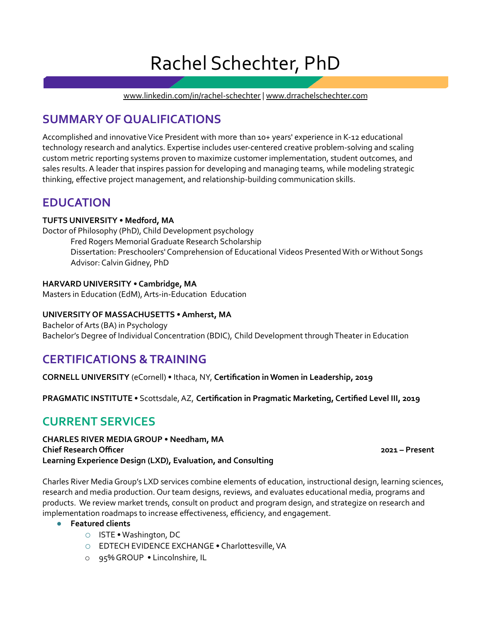# Rachel Schechter, PhD

[www.linkedin.com/in/rachel-schechter](https://www.linkedin.com/in/rachel-schechter) | [www.drrachelschechter.com](http://www.drrachelschechter.com)

# **SUMMARY OF QUALIFICATIONS**

Accomplished and innovative Vice President with more than 10+ years' experience in K-12 educational technology research and analytics. Expertise includes user-centered creative problem-solving and scaling custom metric reporting systems proven to maximize customer implementation, student outcomes, and sales results.A leader that inspires passion for developing and managing teams, while modeling strategic thinking, effective project management, and relationship-building communication skills.

# **EDUCATION**

### **TUFTS UNIVERSITY • Medford, MA 9/2007-2/2013**

Doctor of Philosophy (PhD), Child Development psychology Fred Rogers Memorial Graduate Research Scholarship Dissertation: Preschoolers' Comprehension of Educational Videos PresentedWith or Without Songs Advisor: Calvin Gidney, PhD

### **HARVARD UNIVERSITY • Cambridge, MA 9/2002-5/2003**

Masters in Education (EdM), Arts-in-Education Education

### **UNIVERSITY OF MASSACHUSETTS •Amherst, MA 9/1998-5/2002**

Bachelor of Arts (BA) in Psychology Bachelor's Degree of Individual Concentration (BDIC), Child Development throughTheater in Education

# **CERTIFICATIONS &TRAINING**

**CORNELL UNIVERSITY** (eCornell) • Ithaca, NY, **Certification in Women in Leadership, 2019**

**PRAGMATIC INSTITUTE** • Scottsdale,AZ, **Certification in Pragmatic Marketing, Certified Level III, 2019**

# **CURRENT SERVICES**

**CHARLES RIVER MEDIAGROUP • Needham, MA Chief Research Officer april 2021 – Present Learning Experience Design (LXD), Evaluation, and Consulting**

Charles River MediaGroup's LXD services combine elements of education, instructional design, learning sciences, research and media production. Our team designs, reviews, and evaluates educational media, programs and products. We review market trends, consult on product and program design, and strategize on research and implementation roadmaps to increase effectiveness, efficiency, and engagement.

### ● **Featured clients**

- o ISTE •Washington, DC
- o EDTECH EVIDENCE EXCHANGE Charlottesville,VA
- o 95% GROUP Lincolnshire, IL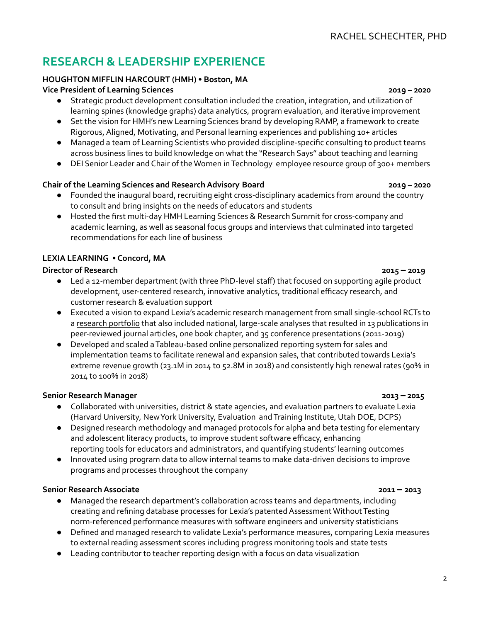# **RESEARCH & LEADERSHIP EXPERIENCE**

# **HOUGHTON MIFFLIN HARCOURT (HMH) • Boston, MA**

### **Vice President of Learning Sciences February 2019 – 2020**

- Strategic product development consultation included the creation, integration, and utilization of learning spines (knowledge graphs) data analytics, program evaluation, and iterative improvement
- Set the vision for HMH's new Learning Sciences brand by developing RAMP, a framework to create Rigorous,Aligned, Motivating, and Personal learning experiences and publishing 10+ articles
- Managed a team of Learning Scientists who provided discipline-specific consulting to product teams across business lines to build knowledge on what the "Research Says" about teaching and learning
- DEI Senior Leader and Chair of theWomen inTechnology employee resource group of 300+ members

# **Chair of the Learning Sciences and ResearchAdvisory Board February 2019 – 2020**

- Founded the inaugural board, recruiting eight cross-disciplinary academics from around the country to consult and bring insights on the needs of educators and students
- Hosted the first multi-day HMH Learning Sciences & Research Summit for cross-company and academic learning, as well as seasonal focus groups and interviews that culminated into targeted recommendations for each line of business

# **LEXIA LEARNING • Concord, MA**

# **Director of Research March 2015 – 2019**

- Led a 12-member department (with three PhD-level staff) that focused on supporting agile product development, user-centered research, innovative analytics, traditional efficacy research, and customer research & evaluation support
- Executed a vision to expand Lexia's academic research management from small single-school RCTs to a research [portfolio](https://www.lexialearning.com/why-lexia/research-proven) that also included national, large-scale analyses that resulted in 13 publications in peer-reviewed journal articles, one book chapter, and 35 conference presentations (2011-2019)
- Developed and scaled aTableau-based online personalized reporting system for sales and implementation teams to facilitate renewal and expansion sales, that contributed towards Lexia's extreme revenue growth (23.1M in 2014 to 52.8M in 2018) and consistently high renewal rates (90% in 2014 to 100% in 2018)

# **Senior Research Manager August 2013 – 2015**

- Collaborated with universities, district & state agencies, and evaluation partners to evaluate Lexia (Harvard University, NewYork University, Evaluation andTraining Institute, Utah DOE, DCPS)
- Designed research methodology and managed protocols for alpha and beta testing for elementary and adolescent literacy products, to improve student software efficacy, enhancing reporting tools for educators and administrators, and quantifying students' learning outcomes
- Innovated using program data to allow internal teams to make data-driven decisions to improve programs and processes throughout the company

# **Senior ResearchAssociate March 2011 – 2013**

- Managed the research department's collaboration across teams and departments, including creating and refining database processes for Lexia's patented Assessment Without Testing norm-referenced performance measures with software engineers and university statisticians
- Defined and managed research to validate Lexia's performance measures, comparing Lexia measures to external reading assessment scores including progress monitoring tools and state tests
- Leading contributor to teacher reporting design with a focus on data visualization

### $\overline{2}$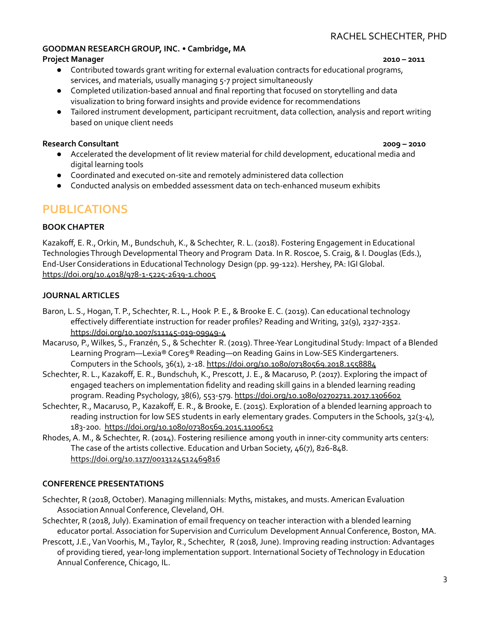# RACHEL SCHECHTER, PHD

### **GOODMAN RESEARCHGROUP, INC.** • **Cambridge, MA**

### **Project Manager** January **2010 – 2011**

- Contributed towards grant writing for external evaluation contracts for educational programs, services, and materials, usually managing 5-7 project simultaneously
- Completed utilization-based annual and final reporting that focused on storytelling and data visualization to bring forward insights and provide evidence for recommendations
- Tailored instrument development, participant recruitment, data collection, analysis and report writing based on unique client needs

### **Research Consultant** January **2009 – 2010**

- Accelerated the development of lit review material for child development, educational media and digital learning tools
- Coordinated and executed on-site and remotely administered data collection
- Conducted analysis on embedded assessment data on tech-enhanced museum exhibits

# **PUBLICATIONS**

### **BOOK CHAPTER**

Kazakoff, E. R., Orkin, M., Bundschuh, K., & Schechter, R. L. (2018). Fostering Engagement in Educational Technologies Through Developmental Theory and Program Data. In R. Roscoe, S. Craig, & I. Douglas (Eds.), End-User Considerations in EducationalTechnology Design (pp. 99-122). Hershey, PA: IGIGlobal. <https://doi.org/10.4018/978-1-5225-2639-1.ch005>

### **JOURNALARTICLES**

- Baron, L. S., Hogan, T. P., Schechter, R. L., Hook P. E., & Brooke E. C. (2019). Can educational technology effectively differentiate instruction for reader profiles? Reading andWriting, 32(9), 2327-2352. <https://doi.org/10.1007/s11145-019-09949-4>
- Macaruso, P.,Wilkes, S., Franzén, S., & Schechter R. (2019).Three-Year Longitudinal Study: Impact of a Blended Learning Program—Lexia® Core5® Reading—on Reading Gains in Low-SES Kindergarteners. Computers in the Schools, 36(1), 2-18. <https://doi.org/10.1080/07380569.2018.1558884>
- Schechter, R. L., Kazakoff, E. R., Bundschuh, K., Prescott, J. E., & Macaruso, P. (2017). Exploring the impact of engaged teachers on implementation fidelity and reading skill gains in a blended learning reading program. Reading Psychology, 38(6), 553-579. <https://doi.org/10.1080/02702711.2017.1306602>
- Schechter, R., Macaruso, P., Kazakoff, E. R., & Brooke, E. (2015). Exploration of a blended learning approach to reading instruction for low SES students in early elementary grades. Computers in the Schools, 32(3-4), 183-200. <https://doi.org/10.1080/07380569.2015.1100652>
- Rhodes,A. M., & Schechter, R. (2014). Fostering resilience among youth in inner-city community arts centers: The case of the artists collective. Education and Urban Society, 46(7), 826-848. <https://doi.org/10.1177/0013124512469816>

### **CONFERENCE PRESENTATIONS**

- Schechter, R (2018, October). Managing millennials: Myths, mistakes, and musts.American Evaluation Association Annual Conference, Cleveland, OH.
- Schechter, R (2018, July). Examination of email frequency on teacher interaction with a blended learning educator portal. Association for Supervision and Curriculum Development Annual Conference, Boston, MA.
- Prescott, J.E., Van Voorhis, M., Taylor, R., Schechter, R (2018, June). Improving reading instruction: Advantages of providing tiered, year-long implementation support. International Society ofTechnology in Education Annual Conference, Chicago, IL.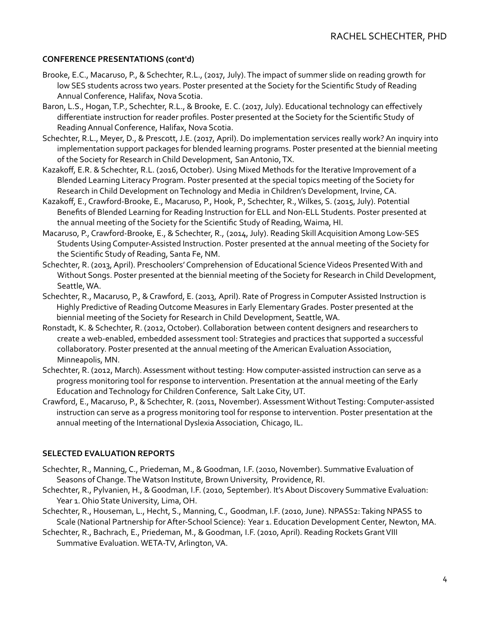### **CONFERENCE PRESENTATIONS (cont'd)**

- Brooke, E.C., Macaruso, P., & Schechter, R.L., (2017, July).The impact of summer slide on reading growth for low SES students across two years. Poster presented at the Society for the Scientific Study of Reading Annual Conference, Halifax, Nova Scotia.
- Baron, L.S., Hogan, T.P., Schechter, R.L., & Brooke, E. C. (2017, July). Educational technology can effectively differentiate instruction for reader profiles. Poster presented at the Society for the Scientific Study of ReadingAnnual Conference, Halifax, Nova Scotia.
- Schechter, R.L., Meyer, D., & Prescott, J.E. (2017, April). Do implementation services really work? An inquiry into implementation support packages for blended learning programs. Poster presented at the biennial meeting of the Society for Research in Child Development, San Antonio, TX.
- Kazakoff, E.R. & Schechter, R.L. (2016, October). Using Mixed Methods for the Iterative Improvement of a Blended Learning Literacy Program. Poster presented at the special topics meeting of the Society for Research in Child Development on Technology and Media in Children's Development, Irvine, CA.
- Kazakoff, E., Crawford-Brooke, E., Macaruso, P., Hook, P., Schechter, R., Wilkes, S. (2015, July). Potential Benefits of Blended Learning for Reading Instruction for ELL and Non-ELL Students. Poster presented at the annual meeting of the Society for the Scientific Study of Reading, Waima, HI.
- Macaruso, P., Crawford-Brooke, E., & Schechter, R., (2014, July). Reading Skill Acquisition Among Low-SES Students Using Computer-Assisted Instruction. Poster presented at the annual meeting of the Society for the Scientific Study of Reading, Santa Fe, NM.
- Schechter, R. (2013, April). Preschoolers' Comprehension of Educational Science Videos Presented With and Without Songs. Poster presented at the biennial meeting of the Society for Research in Child Development, Seattle, WA.
- Schechter, R., Macaruso, P., & Crawford, E. (2013, April). Rate of Progress in Computer Assisted Instruction is Highly Predictive of Reading Outcome Measures in Early ElementaryGrades. Poster presented at the biennial meeting of the Society for Research in Child Development, Seattle,WA.
- Ronstadt, K. & Schechter, R. (2012, October). Collaboration between content designers and researchers to create a web-enabled, embedded assessment tool: Strategies and practices that supported a successful collaboratory. Poster presented at the annual meeting of the American Evaluation Association, Minneapolis, MN.
- Schechter, R. (2012, March). Assessment without testing: How computer-assisted instruction can serve as a progress monitoring tool for response to intervention. Presentation at the annual meeting of the Early Education andTechnology for Children Conference, Salt Lake City, UT.
- Crawford, E., Macaruso, P., & Schechter, R. (2011, November). Assessment Without Testing: Computer-assisted instruction can serve as a progress monitoring tool for response to intervention. Poster presentation at the annual meeting of the International Dyslexia Association, Chicago, IL.

### **SELECTED EVALUATION REPORTS**

- Schechter, R., Manning, C., Priedeman, M., &Goodman, I.F. (2010, November). Summative Evaluation of Seasons of Change. The Watson Institute, Brown University, Providence, RI.
- Schechter, R., Pylvanien, H., & Goodman, I.F. (2010, September). It's About Discovery Summative Evaluation: Year 1. Ohio State University, Lima, OH.
- Schechter, R., Houseman, L., Hecht, S., Manning, C., Goodman, I.F. (2010, June). NPASS2: Taking NPASS to Scale (National Partnership for After-School Science): Year 1. Education Development Center, Newton, MA.

Schechter, R., Bachrach, E., Priedeman, M., & Goodman, I.F. (2010, April). Reading Rockets Grant VIII Summative Evaluation. WETA-TV, Arlington, VA.